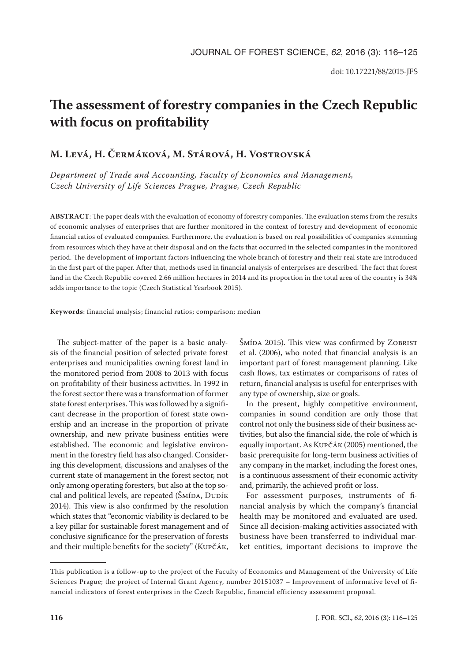# **The assessment of forestry companies in the Czech Republic with focus on profitability**

# **M. Levá, H. Čermáková, M. Stárová, H. Vostrovská**

*Department of Trade and Accounting, Faculty of Economics and Management, Czech University of Life Sciences Prague, Prague, Czech Republic*

**ABSTRACT**: The paper deals with the evaluation of economy of forestry companies. The evaluation stems from the results of economic analyses of enterprises that are further monitored in the context of forestry and development of economic financial ratios of evaluated companies. Furthermore, the evaluation is based on real possibilities of companies stemming from resources which they have at their disposal and on the facts that occurred in the selected companies in the monitored period. The development of important factors influencing the whole branch of forestry and their real state are introduced in the first part of the paper. After that, methods used in financial analysis of enterprises are described. The fact that forest land in the Czech Republic covered 2.66 million hectares in 2014 and its proportion in the total area of the country is 34% adds importance to the topic (Czech Statistical Yearbook 2015).

**Keywords**: financial analysis; financial ratios; comparison; median

The subject-matter of the paper is a basic analysis of the financial position of selected private forest enterprises and municipalities owning forest land in the monitored period from 2008 to 2013 with focus on profitability of their business activities. In 1992 in the forest sector there was a transformation of former state forest enterprises. This was followed by a significant decrease in the proportion of forest state ownership and an increase in the proportion of private ownership, and new private business entities were established. The economic and legislative environment in the forestry field has also changed. Considering this development, discussions and analyses of the current state of management in the forest sector, not only among operating foresters, but also at the top social and political levels, are repeated (ŠMÍDA, DUDÍK 2014). This view is also confirmed by the resolution which states that "economic viability is declared to be a key pillar for sustainable forest management and of conclusive significance for the preservation of forests and their multiple benefits for the society" (Kupčák,

SMÍDA 2015). This view was confirmed by ZOBRIST et al. (2006), who noted that financial analysis is an important part of forest management planning. Like cash flows, tax estimates or comparisons of rates of return, financial analysis is useful for enterprises with any type of ownership, size or goals.

In the present, highly competitive environment, companies in sound condition are only those that control not only the business side of their business activities, but also the financial side, the role of which is equally important. As Kupčák (2005) mentioned, the basic prerequisite for long-term business activities of any company in the market, including the forest ones, is a continuous assessment of their economic activity and, primarily, the achieved profit or loss.

For assessment purposes, instruments of financial analysis by which the company's financial health may be monitored and evaluated are used. Since all decision-making activities associated with business have been transferred to individual market entities, important decisions to improve the

This publication is a follow-up to the project of the Faculty of Economics and Management of the University of Life Sciences Prague; the project of Internal Grant Agency, number 20151037 – Improvement of informative level of financial indicators of forest enterprises in the Czech Republic, financial efficiency assessment proposal.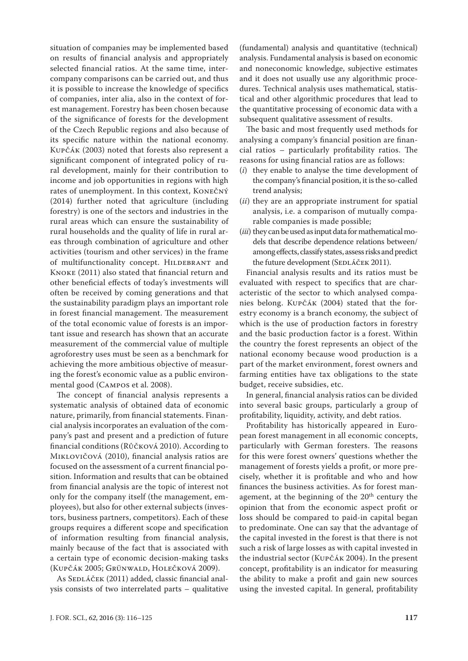situation of companies may be implemented based on results of financial analysis and appropriately selected financial ratios. At the same time, intercompany comparisons can be carried out, and thus it is possible to increase the knowledge of specifics of companies, inter alia, also in the context of forest management. Forestry has been chosen because of the significance of forests for the development of the Czech Republic regions and also because of its specific nature within the national economy. Kupčák (2003) noted that forests also represent a significant component of integrated policy of rural development, mainly for their contribution to income and job opportunities in regions with high rates of unemployment. In this context, Konečný (2014) further noted that agriculture (including forestry) is one of the sectors and industries in the rural areas which can ensure the sustainability of rural households and the quality of life in rural areas through combination of agriculture and other activities (tourism and other services) in the frame of multifunctionality concept. HILDEBRANT and Knoke (2011) also stated that financial return and other beneficial effects of today's investments will often be received by coming generations and that the sustainability paradigm plays an important role in forest financial management. The measurement of the total economic value of forests is an important issue and research has shown that an accurate measurement of the commercial value of multiple agroforestry uses must be seen as a benchmark for achieving the more ambitious objective of measuring the forest's economic value as a public environmental good (Campos et al. 2008).

The concept of financial analysis represents a systematic analysis of obtained data of economic nature, primarily, from financial statements. Financial analysis incorporates an evaluation of the company's past and present and a prediction of future financial conditions (Růčková 2010). According to Miklovičová (2010), financial analysis ratios are focused on the assessment of a current financial position. Information and results that can be obtained from financial analysis are the topic of interest not only for the company itself (the management, employees), but also for other external subjects (investors, business partners, competitors). Each of these groups requires a different scope and specification of information resulting from financial analysis, mainly because of the fact that is associated with a certain type of economic decision-making tasks (Kupčák 2005; Grünwald, Holečková 2009).

As SEDLÁČEK (2011) added, classic financial analysis consists of two interrelated parts – qualitative

(fundamental) analysis and quantitative (technical) analysis. Fundamental analysis is based on economic and noneconomic knowledge, subjective estimates and it does not usually use any algorithmic procedures. Technical analysis uses mathematical, statistical and other algorithmic procedures that lead to the quantitative processing of economic data with a subsequent qualitative assessment of results.

The basic and most frequently used methods for analysing a company's financial position are financial ratios – particularly profitability ratios. The reasons for using financial ratios are as follows:

- (*i*) they enable to analyse the time development of the company's financial position, it is the so-called trend analysis;
- (*ii*) they are an appropriate instrument for spatial analysis, i.e. a comparison of mutually comparable companies is made possible;
- (*iii*) they can be used as input data for mathematical models that describe dependence relations between/ among effects, classify states, assess risks and predict the future development (SEDLÁČEK 2011).

Financial analysis results and its ratios must be evaluated with respect to specifics that are characteristic of the sector to which analysed companies belong. Kupčák (2004) stated that the forestry economy is a branch economy, the subject of which is the use of production factors in forestry and the basic production factor is a forest. Within the country the forest represents an object of the national economy because wood production is a part of the market environment, forest owners and farming entities have tax obligations to the state budget, receive subsidies, etc.

In general, financial analysis ratios can be divided into several basic groups, particularly a group of profitability, liquidity, activity, and debt ratios.

Profitability has historically appeared in European forest management in all economic concepts, particularly with German foresters. The reasons for this were forest owners' questions whether the management of forests yields a profit, or more precisely, whether it is profitable and who and how finances the business activities. As for forest management, at the beginning of the 20<sup>th</sup> century the opinion that from the economic aspect profit or loss should be compared to paid-in capital began to predominate. One can say that the advantage of the capital invested in the forest is that there is not such a risk of large losses as with capital invested in the industrial sector (Kupčák 2004). In the present concept, profitability is an indicator for measuring the ability to make a profit and gain new sources using the invested capital. In general, profitability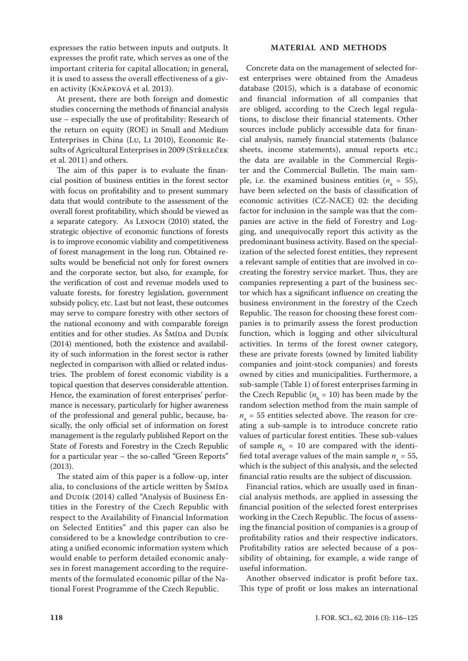expresses the ratio between inputs and outputs. It expresses the profit rate, which serves as one of the important criteria for capital allocation; in general, it is used to assess the overall effectiveness of a given activity (Knápková et al. 2013).

At present, there are both foreign and domestic studies concerning the methods of financial analysis use – especially the use of profitability: Research of the return on equity (ROE) in Small and Medium Enterprises in China (Lu, Li 2010), Economic Results of Agricultural Enterprises in 2009 (STŘELEČEK et al. 2011) and others.

The aim of this paper is to evaluate the financial position of business entities in the forest sector with focus on profitability and to present summary data that would contribute to the assessment of the overall forest profitability, which should be viewed as a separate category. As Lenoch (2010) stated, the strategic objective of economic functions of forests is to improve economic viability and competitiveness of forest management in the long run. Obtained results would be beneficial not only for forest owners and the corporate sector, but also, for example, for the verification of cost and revenue models used to valuate forests, for forestry legislation, government subsidy policy, etc. Last but not least, these outcomes may serve to compare forestry with other sectors of the national economy and with comparable foreign entities and for other studies. As ŠMÍDA and DUDÍK (2014) mentioned, both the existence and availability of such information in the forest sector is rather neglected in comparison with allied or related industries. The problem of forest economic viability is a topical question that deserves considerable attention. Hence, the examination of forest enterprises' performance is necessary, particularly for higher awareness of the professional and general public, because, basically, the only official set of information on forest management is the regularly published Report on the State of Forests and Forestry in the Czech Republic for a particular year – the so-called "Green Reports" (2013).

The stated aim of this paper is a follow-up, inter alia, to conclusions of the article written by ŠMÍDA and DUDík (2014) called "Analysis of Business Entities in the Forestry of the Czech Republic with respect to the Availability of Financial Information on Selected Entities" and this paper can also be considered to be a knowledge contribution to creating a unified economic information system which would enable to perform detailed economic analyses in forest management according to the requirements of the formulated economic pillar of the National Forest Programme of the Czech Republic.

# **MATERIAL AND METHODS**

Concrete data on the management of selected forest enterprises were obtained from the Amadeus database (2015), which is a database of economic and financial information of all companies that are obliged, according to the Czech legal regulations, to disclose their financial statements. Other sources include publicly accessible data for financial analysis, namely financial statements (balance sheets, income statements), annual reports etc.; the data are available in the Commercial Register and the Commercial Bulletin. The main sample, i.e. the examined business entities  $(n_a = 55)$ , have been selected on the basis of classification of economic activities (CZ-NACE) 02: the deciding factor for inclusion in the sample was that the companies are active in the field of Forestry and Logging, and unequivocally report this activity as the predominant business activity. Based on the specialization of the selected forest entities, they represent a relevant sample of entities that are involved in cocreating the forestry service market. Thus, they are companies representing a part of the business sector which has a significant influence on creating the business environment in the forestry of the Czech Republic. The reason for choosing these forest companies is to primarily assess the forest production function, which is logging and other silvicultural activities. In terms of the forest owner category, these are private forests (owned by limited liability companies and joint-stock companies) and forests owned by cities and municipalities. Furthermore, a sub-sample (Table 1) of forest enterprises farming in the Czech Republic ( $n<sub>b</sub> = 10$ ) has been made by the random selection method from the main sample of  $n_a$  = 55 entities selected above. The reason for creating a sub-sample is to introduce concrete ratio values of particular forest entities. These sub-values of sample  $n<sub>b</sub> = 10$  are compared with the identified total average values of the main sample  $n_a = 55$ , which is the subject of this analysis, and the selected financial ratio results are the subject of discussion.

Financial ratios, which are usually used in financial analysis methods, are applied in assessing the financial position of the selected forest enterprises working in the Czech Republic. The focus of assessing the financial position of companies is a group of profitability ratios and their respective indicators. Profitability ratios are selected because of a possibility of obtaining, for example, a wide range of useful information.

Another observed indicator is profit before tax. This type of profit or loss makes an international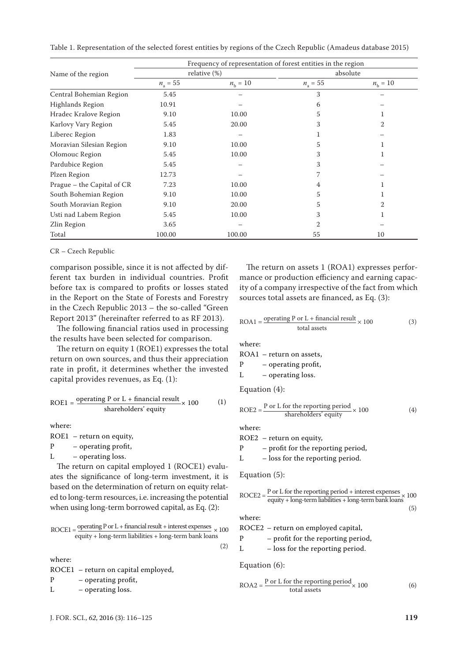|                            | Frequency of representation of forest entities in the region |                  |                  |                  |  |  |  |  |
|----------------------------|--------------------------------------------------------------|------------------|------------------|------------------|--|--|--|--|
| Name of the region         |                                                              | relative (%)     | absolute         |                  |  |  |  |  |
|                            | $n_{\rm a} = 55$                                             | $n_{\rm b} = 10$ | $n_{\rm a} = 55$ | $n_{\rm b} = 10$ |  |  |  |  |
| Central Bohemian Region    | 5.45                                                         |                  | 3                |                  |  |  |  |  |
| Highlands Region           | 10.91                                                        |                  | 6                |                  |  |  |  |  |
| Hradec Kralove Region      | 9.10                                                         | 10.00            | 5                |                  |  |  |  |  |
| Karlovy Vary Region        | 5.45                                                         | 20.00            | 3                | 2                |  |  |  |  |
| Liberec Region             | 1.83                                                         |                  |                  |                  |  |  |  |  |
| Moravian Silesian Region   | 9.10                                                         | 10.00            | 5                |                  |  |  |  |  |
| Olomouc Region             | 5.45                                                         | 10.00            | 3                |                  |  |  |  |  |
| Pardubice Region           | 5.45                                                         |                  | 3                |                  |  |  |  |  |
| Plzen Region               | 12.73                                                        |                  | 7                |                  |  |  |  |  |
| Prague – the Capital of CR | 7.23                                                         | 10.00            | 4                |                  |  |  |  |  |
| South Bohemian Region      | 9.10                                                         | 10.00            | 5                |                  |  |  |  |  |
| South Moravian Region      | 9.10                                                         | 20.00            | 5                | 2                |  |  |  |  |
| Usti nad Labem Region      | 5.45                                                         | 10.00            | 3                |                  |  |  |  |  |
| Zlin Region                | 3.65                                                         |                  | $\mathfrak{D}$   |                  |  |  |  |  |
| Total                      | 100.00                                                       | 100.00           | 55               | 10               |  |  |  |  |

#### CR – Czech Republic

comparison possible, since it is not affected by different tax burden in individual countries. Profit before tax is compared to profits or losses stated in the Report on the State of Forests and Forestry in the Czech Republic 2013 – the so-called "Green Report 2013" (hereinafter referred to as RF 2013).

The following financial ratios used in processing the results have been selected for comparison.

The return on equity 1 (ROE1) expresses the total return on own sources, and thus their appreciation rate in profit, it determines whether the invested capital provides revenues, as Eq. (1):

ROE1 = 
$$
\frac{\text{operating P or L + financial result}}{\text{shareholders' equity}} \times 100
$$
 (1)

where:

ROE1 – return on equity,

 $P - operating profit,$ 

L – operating loss.

The return on capital employed 1 (ROCE1) evaluates the significance of long-term investment, it is based on the determination of return on equity related to long-term resources, i.e. increasing the potential when using long-term borrowed capital, as Eq. (2):

$$
ROCE1 = \frac{\text{operating P or L + financial result + interest expenses}}{\text{equity + long-term liabilities + long-term bank loans}}
$$

where:

ROCE1 – return on capital employed,  $P - operating profit,$  $L$  – operating loss.

The return on assets 1 (ROA1) expresses performance or production efficiency and earning capacity of a company irrespective of the fact from which sources total assets are financed, as Eq. (3):

$$
ROA1 = \frac{\text{operating P or L + financial result}}{\text{total assets}} \times 100
$$
 (3)

where:

ROA1 – return on assets,

P – operating profit,

L – operating loss.

Equation (4):

ROE2 = 
$$
\frac{P \text{ or } L \text{ for the reporting period}}{\text{shareholders' equity}} \times 100
$$
 (4)

where:

ROE2 – return on equity,

P – profit for the reporting period,

 $L$  – loss for the reporting period.

Equation (5):

ROCE2 = 
$$
\frac{P \text{ or } L \text{ for the reporting period + interest expenses}}{\text{equity} + \text{long-term liabilities} + \text{long-term bank loans}}
$$

where:

(2)

ROCE2 – return on employed capital,

P – profit for the reporting period,

 $L$  – loss for the reporting period.

Equation (6):

$$
ROA2 = \frac{P \text{ or } L \text{ for the reporting period}}{\text{total assets}} \times 100
$$
 (6)

(5)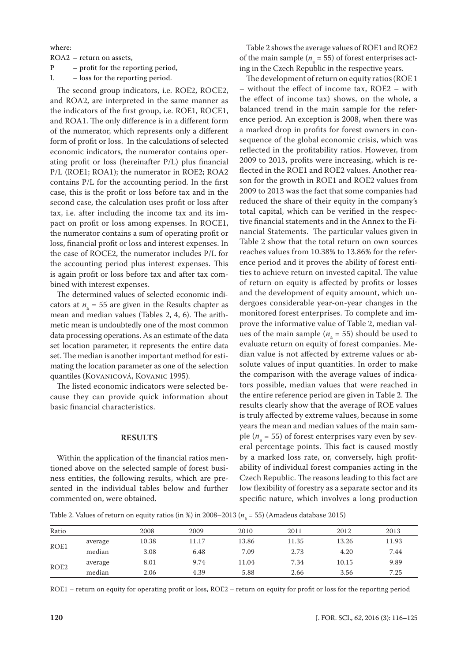where:

ROA2 – return on assets,

- P profit for the reporting period,
- $L loss$  for the reporting period.

The second group indicators, i.e. ROE2, ROCE2, and ROA2, are interpreted in the same manner as the indicators of the first group, i.e. ROE1, ROCE1, and ROA1. The only difference is in a different form of the numerator, which represents only a different form of profit or loss. In the calculations of selected economic indicators, the numerator contains operating profit or loss (hereinafter P/L) plus financial P/L (ROE1; ROA1); the numerator in ROE2; ROA2 contains P/L for the accounting period. In the first case, this is the profit or loss before tax and in the second case, the calculation uses profit or loss after tax, i.e. after including the income tax and its impact on profit or loss among expenses. In ROCE1, the numerator contains a sum of operating profit or loss, financial profit or loss and interest expenses. In the case of ROCE2, the numerator includes P/L for the accounting period plus interest expenses. This is again profit or loss before tax and after tax combined with interest expenses.

The determined values of selected economic indicators at  $n_a = 55$  are given in the Results chapter as mean and median values (Tables 2, 4, 6). The arithmetic mean is undoubtedly one of the most common data processing operations. As an estimate of the data set location parameter, it represents the entire data set. The median is another important method for estimating the location parameter as one of the selection quantiles (Kovanicová, Kovanic 1995).

The listed economic indicators were selected because they can provide quick information about basic financial characteristics.

#### **RESULTS**

Within the application of the financial ratios mentioned above on the selected sample of forest business entities, the following results, which are presented in the individual tables below and further commented on, were obtained.

Table 2 shows the average values of ROE1 and ROE2 of the main sample ( $n_a = 55$ ) of forest enterprises acting in the Czech Republic in the respective years.

The development of return on equity ratios (ROE 1 – without the effect of income tax, ROE2 – with the effect of income tax) shows, on the whole, a balanced trend in the main sample for the reference period. An exception is 2008, when there was a marked drop in profits for forest owners in consequence of the global economic crisis, which was reflected in the profitability ratios. However, from 2009 to 2013, profits were increasing, which is reflected in the ROE1 and ROE2 values. Another reason for the growth in ROE1 and ROE2 values from 2009 to 2013 was the fact that some companies had reduced the share of their equity in the company's total capital, which can be verified in the respective financial statements and in the Annex to the Financial Statements. The particular values given in Table 2 show that the total return on own sources reaches values from 10.38% to 13.86% for the reference period and it proves the ability of forest entities to achieve return on invested capital. The value of return on equity is affected by profits or losses and the development of equity amount, which undergoes considerable year-on-year changes in the monitored forest enterprises. To complete and improve the informative value of Table 2, median values of the main sample ( $n_a = 55$ ) should be used to evaluate return on equity of forest companies. Median value is not affected by extreme values or absolute values of input quantities. In order to make the comparison with the average values of indicators possible, median values that were reached in the entire reference period are given in Table 2. The results clearly show that the average of ROE values is truly affected by extreme values, because in some years the mean and median values of the main sample ( $n_a$  = 55) of forest enterprises vary even by several percentage points. This fact is caused mostly by a marked loss rate, or, conversely, high profitability of individual forest companies acting in the Czech Republic. The reasons leading to this fact are low flexibility of forestry as a separate sector and its specific nature, which involves a long production

Table 2. Values of return on equity ratios (in %) in 2008–2013 ( $n_{\rm a}$  = 55) (Amadeus database 2015)

| Ratio            |         | 2008  | 2009  | 2010  | 2011  | 2012  | 2013  |
|------------------|---------|-------|-------|-------|-------|-------|-------|
| ROE1             | average | 10.38 | 11.17 | 13.86 | 11.35 | 13.26 | 11.93 |
|                  | median  | 3.08  | 6.48  | 7.09  | 2.73  | 4.20  | 7.44  |
|                  | average | 8.01  | 9.74  | 11.04 | 7.34  | 10.15 | 9.89  |
| ROE <sub>2</sub> | median  | 2.06  | 4.39  | 5.88  | 2.66  | 3.56  | 7.25  |

ROE1 – return on equity for operating profit or loss, ROE2 – return on equity for profit or loss for the reporting period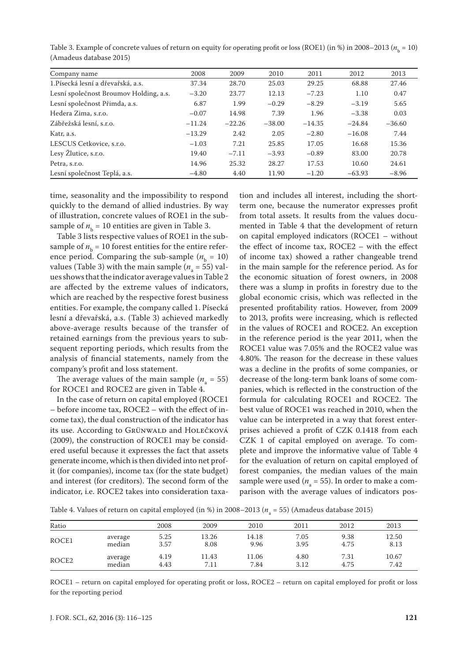| Company name                           | 2008     | 2009     | 2010     | 2011     | 2012     | 2013     |
|----------------------------------------|----------|----------|----------|----------|----------|----------|
| 1. Písecká lesní a dřevařská, a.s.     | 37.34    | 28.70    | 25.03    | 29.25    | 68.88    | 27.46    |
| Lesní společnost Broumov Holding, a.s. | $-3.20$  | 23.77    | 12.13    | $-7.23$  | 1.10     | 0.47     |
| Lesní společnost Přimda, a.s.          | 6.87     | 1.99     | $-0.29$  | $-8.29$  | $-3.19$  | 5.65     |
| Hedera Zima, s.r.o.                    | $-0.07$  | 14.98    | 7.39     | 1.96     | $-3.38$  | 0.03     |
| Zábřežská lesní, s.r.o.                | $-11.24$ | $-22.26$ | $-38.00$ | $-14.35$ | $-24.84$ | $-36.60$ |
| Katr, a.s.                             | $-13.29$ | 2.42     | 2.05     | $-2.80$  | $-16.08$ | 7.44     |
| LESCUS Cetkovice, s.r.o.               | $-1.03$  | 7.21     | 25.85    | 17.05    | 16.68    | 15.36    |
| Lesy Žlutice, s.r.o.                   | 19.40    | $-7.11$  | $-3.93$  | $-0.89$  | 83.00    | 20.78    |
| Petra, s.r.o.                          | 14.96    | 25.32    | 28.27    | 17.53    | 10.60    | 24.61    |
| Lesní společnost Teplá, a.s.           | $-4.80$  | 4.40     | 11.90    | $-1.20$  | $-63.93$ | $-8.96$  |

Table 3. Example of concrete values of return on equity for operating profit or loss (ROE1) (in %) in 2008–2013 ( $n_b = 10$ ) (Amadeus database 2015)

time, seasonality and the impossibility to respond quickly to the demand of allied industries. By way of illustration, concrete values of ROE1 in the subsample of  $n_b = 10$  entities are given in Table 3.

Table 3 lists respective values of ROE1 in the subsample of  $n_b = 10$  forest entities for the entire reference period. Comparing the sub-sample  $(n_b = 10)$ values (Table 3) with the main sample  $(n_a = 55)$  values shows that the indicator average values in Table 2 are affected by the extreme values of indicators, which are reached by the respective forest business entities. For example, the company called 1. Písecká lesní a dřevařská, a.s. (Table 3) achieved markedly above-average results because of the transfer of retained earnings from the previous years to subsequent reporting periods, which results from the analysis of financial statements, namely from the company's profit and loss statement.

The average values of the main sample  $(n_a = 55)$ for ROCE1 and ROCE2 are given in Table 4.

In the case of return on capital employed (ROCE1 – before income tax, ROCE2 – with the effect of income tax), the dual construction of the indicator has its use. According to GRÜNWALD and HOLEČKOVÁ (2009), the construction of ROCE1 may be considered useful because it expresses the fact that assets generate income, which is then divided into net profit (for companies), income tax (for the state budget) and interest (for creditors). The second form of the indicator, i.e. ROCE2 takes into consideration taxa-

tion and includes all interest, including the shortterm one, because the numerator expresses profit from total assets. It results from the values documented in Table 4 that the development of return on capital employed indicators (ROCE1 – without the effect of income tax, ROCE2 – with the effect of income tax) showed a rather changeable trend in the main sample for the reference period. As for the economic situation of forest owners, in 2008 there was a slump in profits in forestry due to the global economic crisis, which was reflected in the presented profitability ratios. However, from 2009 to 2013, profits were increasing, which is reflected in the values of ROCE1 and ROCE2. An exception in the reference period is the year 2011, when the ROCE1 value was 7.05% and the ROCE2 value was 4.80%. The reason for the decrease in these values was a decline in the profits of some companies, or decrease of the long-term bank loans of some companies, which is reflected in the construction of the formula for calculating ROCE1 and ROCE2. The best value of ROCE1 was reached in 2010, when the value can be interpreted in a way that forest enterprises achieved a profit of CZK 0.1418 from each CZK 1 of capital employed on average. To complete and improve the informative value of Table 4 for the evaluation of return on capital employed of forest companies, the median values of the main sample were used ( $n_{\rm a}$  = 55). In order to make a comparison with the average values of indicators pos-

Table 4. Values of return on capital employed (in %) in 2008–2013 ( $n_{\rm a}$  = 55) (Amadeus database 2015)

| Ratio             |         | 2008 | 2009  | 2010  | 2011 | 2012 | 2013  |
|-------------------|---------|------|-------|-------|------|------|-------|
| ROCE1             | average | 5.25 | 13.26 | 14.18 | 7.05 | 9.38 | 12.50 |
|                   | median  | 3.57 | 8.08  | 9.96  | 3.95 | 4.75 | 8.13  |
| ROCE <sub>2</sub> | average | 4.19 | 11.43 | 11.06 | 4.80 | 7.31 | 10.67 |
|                   | median  | 4.43 | 7.11  | 7.84  | 3.12 | 4.75 | 7.42  |

ROCE1 – return on capital employed for operating profit or loss, ROCE2 – return on capital employed for profit or loss for the reporting period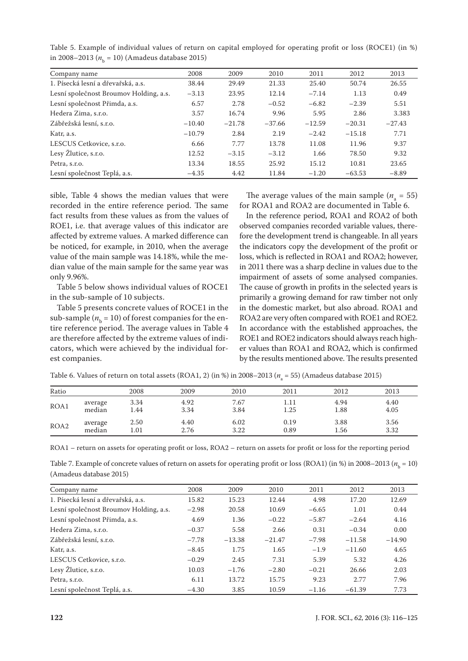| Company name                           | 2008     | 2009     | 2010     | 2011     | 2012     | 2013     |
|----------------------------------------|----------|----------|----------|----------|----------|----------|
| 1. Písecká lesní a dřevařská, a.s.     | 38.44    | 29.49    | 21.33    | 25.40    | 50.74    | 26.55    |
| Lesní společnost Broumov Holding, a.s. | $-3.13$  | 23.95    | 12.14    | $-7.14$  | 1.13     | 0.49     |
| Lesní společnost Přimda, a.s.          | 6.57     | 2.78     | $-0.52$  | $-6.82$  | $-2.39$  | 5.51     |
| Hedera Zima, s.r.o.                    | 3.57     | 16.74    | 9.96     | 5.95     | 2.86     | 3.383    |
| Zábřežská lesní, s.r.o.                | $-10.40$ | $-21.78$ | $-37.66$ | $-12.59$ | $-20.31$ | $-27.43$ |
| Katr, a.s.                             | $-10.79$ | 2.84     | 2.19     | $-2.42$  | $-15.18$ | 7.71     |
| LESCUS Cetkovice, s.r.o.               | 6.66     | 7.77     | 13.78    | 11.08    | 11.96    | 9.37     |
| Lesy Žlutice, s.r.o.                   | 12.52    | $-3.15$  | $-3.12$  | 1.66     | 78.50    | 9.32     |
| Petra, s.r.o.                          | 13.34    | 18.55    | 25.92    | 15.12    | 10.81    | 23.65    |
| Lesní společnost Teplá, a.s.           | $-4.35$  | 4.42     | 11.84    | $-1.20$  | $-63.53$ | $-8.89$  |

Table 5. Example of individual values of return on capital employed for operating profit or loss (ROCE1) (in %) in 2008–2013 ( $n_b = 10$ ) (Amadeus database 2015)

sible, Table 4 shows the median values that were recorded in the entire reference period. The same fact results from these values as from the values of ROE1, i.e. that average values of this indicator are affected by extreme values. A marked difference can be noticed, for example, in 2010, when the average value of the main sample was 14.18%, while the median value of the main sample for the same year was only 9.96%.

Table 5 below shows individual values of ROCE1 in the sub-sample of 10 subjects.

Table 5 presents concrete values of ROCE1 in the sub-sample ( $n<sub>b</sub> = 10$ ) of forest companies for the entire reference period. The average values in Table 4 are therefore affected by the extreme values of indicators, which were achieved by the individual forest companies.

The average values of the main sample  $(n_a = 55)$ for ROA1 and ROA2 are documented in Table 6.

In the reference period, ROA1 and ROA2 of both observed companies recorded variable values, therefore the development trend is changeable. In all years the indicators copy the development of the profit or loss, which is reflected in ROA1 and ROA2; however, in 2011 there was a sharp decline in values due to the impairment of assets of some analysed companies. The cause of growth in profits in the selected years is primarily a growing demand for raw timber not only in the domestic market, but also abroad. ROA1 and ROA2 are very often compared with ROE1 and ROE2. In accordance with the established approaches, the ROE1 and ROE2 indicators should always reach higher values than ROA1 and ROA2, which is confirmed by the results mentioned above. The results presented

| Ratio            |         | 2008 | 2009 | 2010 | 2011 | 2012 | 2013 |
|------------------|---------|------|------|------|------|------|------|
| ROA1             | average | 3.34 | 4.92 | 7.67 | 1.11 | 4.94 | 4.40 |
|                  | median  | .44  | 3.34 | 3.84 | 1.25 | 1.88 | 4.05 |
| ROA <sub>2</sub> | average | 2.50 | 4.40 | 6.02 | 0.19 | 3.88 | 3.56 |
|                  | median  | 1.01 | 2.76 | 3.22 | 0.89 | 1.56 | 3.32 |

Table 6. Values of return on total assets (ROA1, 2) (in %) in 2008–2013 ( $n_{\rm a}$  = 55) (Amadeus database 2015)

ROA1 – return on assets for operating profit or loss, ROA2 – return on assets for profit or loss for the reporting period

Table 7. Example of concrete values of return on assets for operating profit or loss (ROA1) (in %) in 2008–2013 ( $n<sub>b</sub> = 10$ ) (Amadeus database 2015)

| Company name                           | 2008    | 2009     | 2010     | 2011    | 2012     | 2013     |
|----------------------------------------|---------|----------|----------|---------|----------|----------|
| 1. Písecká lesní a dřevařská, a.s.     | 15.82   | 15.23    | 12.44    | 4.98    | 17.20    | 12.69    |
| Lesní společnost Broumov Holding, a.s. | $-2.98$ | 20.58    | 10.69    | $-6.65$ | 1.01     | 0.44     |
| Lesní společnost Přimda, a.s.          | 4.69    | 1.36     | $-0.22$  | $-5.87$ | $-2.64$  | 4.16     |
| Hedera Zima, s.r.o.                    | $-0.37$ | 5.58     | 2.66     | 0.31    | $-0.34$  | 0.00     |
| Zábřežská lesní, s.r.o.                | $-7.78$ | $-13.38$ | $-21.47$ | $-7.98$ | $-11.58$ | $-14.90$ |
| Katr, a.s.                             | $-8.45$ | 1.75     | 1.65     | $-1.9$  | $-11.60$ | 4.65     |
| LESCUS Cetkovice, s.r.o.               | $-0.29$ | 2.45     | 7.31     | 5.39    | 5.32     | 4.26     |
| Lesy Žlutice, s.r.o.                   | 10.03   | $-1.76$  | $-2.80$  | $-0.21$ | 26.66    | 2.03     |
| Petra, s.r.o.                          | 6.11    | 13.72    | 15.75    | 9.23    | 2.77     | 7.96     |
| Lesní společnost Teplá, a.s.           | $-4.30$ | 3.85     | 10.59    | $-1.16$ | $-61.39$ | 7.73     |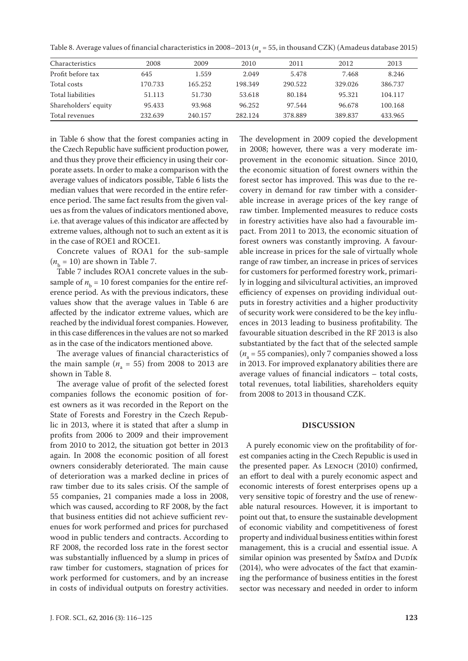Table 8. Average values of financial characteristics in 2008–2013 ( $n_{\rm a}$  = 55, in thousand CZK) (Amadeus database 2015)

| <b>Characteristics</b> | 2008    | 2009    | 2010    | 2011    | 2012    | 2013    |
|------------------------|---------|---------|---------|---------|---------|---------|
| Profit before tax      | 645     | 1.559   | 2.049   | 5.478   | 7.468   | 8.246   |
| Total costs            | 170.733 | 165.252 | 198.349 | 290.522 | 329.026 | 386.737 |
| Total liabilities      | 51.113  | 51.730  | 53.618  | 80.184  | 95.321  | 104.117 |
| Shareholders' equity   | 95.433  | 93.968  | 96.252  | 97.544  | 96.678  | 100.168 |
| Total revenues         | 232.639 | 240.157 | 282.124 | 378.889 | 389.837 | 433.965 |

in Table 6 show that the forest companies acting in the Czech Republic have sufficient production power, and thus they prove their efficiency in using their corporate assets. In order to make a comparison with the average values of indicators possible, Table 6 lists the median values that were recorded in the entire reference period. The same fact results from the given values as from the values of indicators mentioned above, i.e. that average values of this indicator are affected by extreme values, although not to such an extent as it is in the case of ROE1 and ROCE1.

Concrete values of ROA1 for the sub-sample  $(n<sub>b</sub> = 10)$  are shown in Table 7.

Table 7 includes ROA1 concrete values in the subsample of  $n_b = 10$  forest companies for the entire reference period. As with the previous indicators, these values show that the average values in Table 6 are affected by the indicator extreme values, which are reached by the individual forest companies. However, in this case differences in the values are not so marked as in the case of the indicators mentioned above.

The average values of financial characteristics of the main sample ( $n_a = 55$ ) from 2008 to 2013 are shown in Table 8.

The average value of profit of the selected forest companies follows the economic position of forest owners as it was recorded in the Report on the State of Forests and Forestry in the Czech Republic in 2013, where it is stated that after a slump in profits from 2006 to 2009 and their improvement from 2010 to 2012, the situation got better in 2013 again. In 2008 the economic position of all forest owners considerably deteriorated. The main cause of deterioration was a marked decline in prices of raw timber due to its sales crisis. Of the sample of 55 companies, 21 companies made a loss in 2008, which was caused, according to RF 2008, by the fact that business entities did not achieve sufficient revenues for work performed and prices for purchased wood in public tenders and contracts. According to RF 2008, the recorded loss rate in the forest sector was substantially influenced by a slump in prices of raw timber for customers, stagnation of prices for work performed for customers, and by an increase in costs of individual outputs on forestry activities.

The development in 2009 copied the development in 2008; however, there was a very moderate improvement in the economic situation. Since 2010, the economic situation of forest owners within the forest sector has improved. This was due to the recovery in demand for raw timber with a considerable increase in average prices of the key range of raw timber. Implemented measures to reduce costs in forestry activities have also had a favourable impact. From 2011 to 2013, the economic situation of forest owners was constantly improving. A favourable increase in prices for the sale of virtually whole range of raw timber, an increase in prices of services for customers for performed forestry work, primarily in logging and silvicultural activities, an improved efficiency of expenses on providing individual outputs in forestry activities and a higher productivity of security work were considered to be the key influences in 2013 leading to business profitability. The favourable situation described in the RF 2013 is also substantiated by the fact that of the selected sample (*n*a = 55 companies), only 7 companies showed a loss in 2013. For improved explanatory abilities there are average values of financial indicators – total costs, total revenues, total liabilities, shareholders equity from 2008 to 2013 in thousand CZK.

### **DISCUSSION**

A purely economic view on the profitability of forest companies acting in the Czech Republic is used in the presented paper. As LENOCH (2010) confirmed, an effort to deal with a purely economic aspect and economic interests of forest enterprises opens up a very sensitive topic of forestry and the use of renewable natural resources. However, it is important to point out that, to ensure the sustainable development of economic viability and competitiveness of forest property and individual business entities within forest management, this is a crucial and essential issue. A similar opinion was presented by ŠMÍDA and DUDÍK (2014), who were advocates of the fact that examining the performance of business entities in the forest sector was necessary and needed in order to inform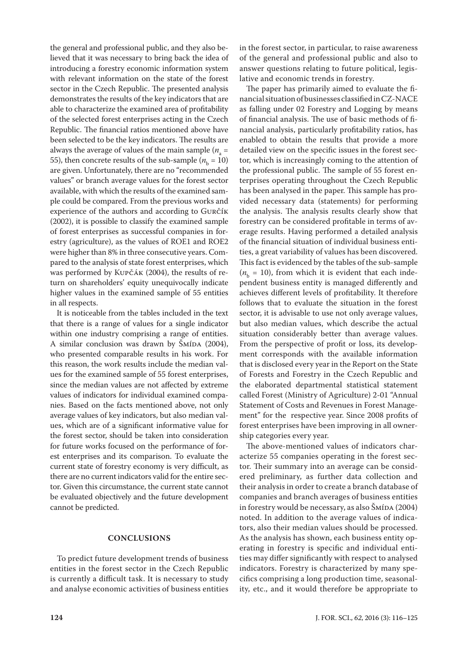the general and professional public, and they also believed that it was necessary to bring back the idea of introducing a forestry economic information system with relevant information on the state of the forest sector in the Czech Republic. The presented analysis demonstrates the results of the key indicators that are able to characterize the examined area of profitability of the selected forest enterprises acting in the Czech Republic. The financial ratios mentioned above have been selected to be the key indicators. The results are always the average of values of the main sample  $(n_a =$ 55), then concrete results of the sub-sample ( $n_b = 10$ ) are given. Unfortunately, there are no "recommended values" or branch average values for the forest sector available, with which the results of the examined sample could be compared. From the previous works and experience of the authors and according to Gurčík (2002), it is possible to classify the examined sample of forest enterprises as successful companies in forestry (agriculture), as the values of ROE1 and ROE2 were higher than 8% in three consecutive years. Compared to the analysis of state forest enterprises, which was performed by Kupčák (2004), the results of return on shareholders' equity unequivocally indicate higher values in the examined sample of 55 entities in all respects.

It is noticeable from the tables included in the text that there is a range of values for a single indicator within one industry comprising a range of entities. A similar conclusion was drawn by  $\tilde{S}$ MíDA (2004), who presented comparable results in his work. For this reason, the work results include the median values for the examined sample of 55 forest enterprises, since the median values are not affected by extreme values of indicators for individual examined companies. Based on the facts mentioned above, not only average values of key indicators, but also median values, which are of a significant informative value for the forest sector, should be taken into consideration for future works focused on the performance of forest enterprises and its comparison. To evaluate the current state of forestry economy is very difficult, as there are no current indicators valid for the entire sector. Given this circumstance, the current state cannot be evaluated objectively and the future development cannot be predicted.

# **CONCLUSIONS**

To predict future development trends of business entities in the forest sector in the Czech Republic is currently a difficult task. It is necessary to study and analyse economic activities of business entities in the forest sector, in particular, to raise awareness of the general and professional public and also to answer questions relating to future political, legislative and economic trends in forestry.

The paper has primarily aimed to evaluate the financial situation of businesses classified in CZ-NACE as falling under 02 Forestry and Logging by means of financial analysis. The use of basic methods of financial analysis, particularly profitability ratios, has enabled to obtain the results that provide a more detailed view on the specific issues in the forest sector, which is increasingly coming to the attention of the professional public. The sample of 55 forest enterprises operating throughout the Czech Republic has been analysed in the paper. This sample has provided necessary data (statements) for performing the analysis. The analysis results clearly show that forestry can be considered profitable in terms of average results. Having performed a detailed analysis of the financial situation of individual business entities, a great variability of values has been discovered. This fact is evidenced by the tables of the sub-sample  $(n<sub>b</sub> = 10)$ , from which it is evident that each independent business entity is managed differently and achieves different levels of profitability. It therefore follows that to evaluate the situation in the forest sector, it is advisable to use not only average values, but also median values, which describe the actual situation considerably better than average values. From the perspective of profit or loss, its development corresponds with the available information that is disclosed every year in the Report on the State of Forests and Forestry in the Czech Republic and the elaborated departmental statistical statement called Forest (Ministry of Agriculture) 2-01 "Annual Statement of Costs and Revenues in Forest Management" for the respective year. Since 2008 profits of forest enterprises have been improving in all ownership categories every year.

The above-mentioned values of indicators characterize 55 companies operating in the forest sector. Their summary into an average can be considered preliminary, as further data collection and their analysis in order to create a branch database of companies and branch averages of business entities in forestry would be necessary, as also ŠMÍDA (2004) noted. In addition to the average values of indicators, also their median values should be processed. As the analysis has shown, each business entity operating in forestry is specific and individual entities may differ significantly with respect to analysed indicators. Forestry is characterized by many specifics comprising a long production time, seasonality, etc., and it would therefore be appropriate to